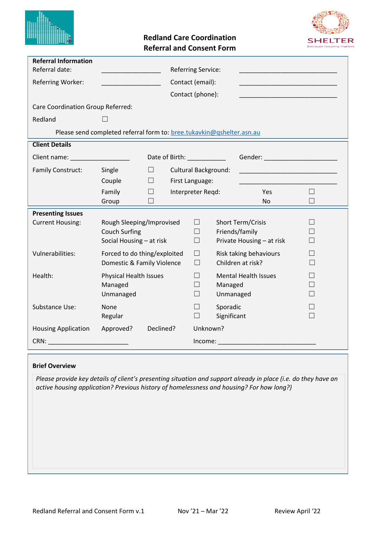

## **Redland Care Coordination Referral and Consent Form**



| <b>Referral Information</b>                                           |                                                                               |                                                                                                                                                               |                                                                                                                                                                                                                                |                                                                                 |                   |                                                                                |        |  |
|-----------------------------------------------------------------------|-------------------------------------------------------------------------------|---------------------------------------------------------------------------------------------------------------------------------------------------------------|--------------------------------------------------------------------------------------------------------------------------------------------------------------------------------------------------------------------------------|---------------------------------------------------------------------------------|-------------------|--------------------------------------------------------------------------------|--------|--|
| Referral date:                                                        |                                                                               | <b>Referring Service:</b>                                                                                                                                     |                                                                                                                                                                                                                                |                                                                                 |                   |                                                                                |        |  |
| Referring Worker:                                                     |                                                                               | <u> 1990 - Johann Barbara, martxa</u>                                                                                                                         |                                                                                                                                                                                                                                |                                                                                 |                   | Contact (email):<br><u> 1989 - Johann John Stone, fransk politik (d. 1989)</u> |        |  |
|                                                                       |                                                                               |                                                                                                                                                               |                                                                                                                                                                                                                                | Contact (phone):                                                                |                   |                                                                                |        |  |
| Care Coordination Group Referred:                                     |                                                                               |                                                                                                                                                               |                                                                                                                                                                                                                                |                                                                                 |                   |                                                                                |        |  |
| Redland                                                               |                                                                               |                                                                                                                                                               |                                                                                                                                                                                                                                |                                                                                 |                   |                                                                                |        |  |
| Please send completed referral form to: bree.tukavkin@qshelter.asn.au |                                                                               |                                                                                                                                                               |                                                                                                                                                                                                                                |                                                                                 |                   |                                                                                |        |  |
| <b>Client Details</b>                                                 |                                                                               |                                                                                                                                                               |                                                                                                                                                                                                                                |                                                                                 |                   |                                                                                |        |  |
| Client name: ___________________                                      | Date of Birth: National Property of Birth:                                    |                                                                                                                                                               |                                                                                                                                                                                                                                |                                                                                 |                   |                                                                                |        |  |
| <b>Family Construct:</b>                                              | Single                                                                        | <b>Cultural Background:</b><br>$\Box$<br><u> 1989 - Johann Barn, mars eta bat erroman erroman erroman erroman erroman erroman erroman erroman erroman err</u> |                                                                                                                                                                                                                                |                                                                                 |                   |                                                                                |        |  |
|                                                                       | Couple                                                                        | $\Box$<br>First Language:                                                                                                                                     |                                                                                                                                                                                                                                |                                                                                 |                   |                                                                                |        |  |
|                                                                       | Family<br>$\Box$                                                              |                                                                                                                                                               |                                                                                                                                                                                                                                | Interpreter Regd:                                                               |                   | Yes                                                                            | $\Box$ |  |
|                                                                       | Group                                                                         | $\Box$                                                                                                                                                        |                                                                                                                                                                                                                                |                                                                                 |                   | No                                                                             |        |  |
| <b>Presenting Issues</b>                                              |                                                                               |                                                                                                                                                               |                                                                                                                                                                                                                                |                                                                                 |                   |                                                                                |        |  |
| <b>Current Housing:</b>                                               | Rough Sleeping/Improvised<br><b>Couch Surfing</b><br>Social Housing - at risk |                                                                                                                                                               |                                                                                                                                                                                                                                | Short Term/Crisis<br>$\Box$<br>П<br>Friends/family<br>Private Housing - at risk |                   |                                                                                |        |  |
|                                                                       |                                                                               |                                                                                                                                                               |                                                                                                                                                                                                                                |                                                                                 |                   |                                                                                |        |  |
|                                                                       |                                                                               |                                                                                                                                                               |                                                                                                                                                                                                                                | $\Box$                                                                          |                   |                                                                                |        |  |
| Vulnerabilities:<br>Forced to do thing/exploited                      |                                                                               |                                                                                                                                                               | $\Box$                                                                                                                                                                                                                         | Risk taking behaviours<br>i.                                                    |                   |                                                                                |        |  |
|                                                                       |                                                                               | Domestic & Family Violence                                                                                                                                    |                                                                                                                                                                                                                                | □                                                                               | Children at risk? |                                                                                |        |  |
| Health:<br>Physical Health Issues                                     |                                                                               |                                                                                                                                                               |                                                                                                                                                                                                                                | <b>Mental Health Issues</b><br>$\Box$                                           |                   |                                                                                |        |  |
|                                                                       | Managed                                                                       |                                                                                                                                                               |                                                                                                                                                                                                                                | $\Box$                                                                          | Managed           |                                                                                |        |  |
|                                                                       | Unmanaged                                                                     |                                                                                                                                                               |                                                                                                                                                                                                                                | $\Box$                                                                          | Unmanaged         |                                                                                |        |  |
| Substance Use:                                                        | None                                                                          |                                                                                                                                                               |                                                                                                                                                                                                                                | $\Box$                                                                          | Sporadic          |                                                                                |        |  |
|                                                                       | Regular                                                                       |                                                                                                                                                               |                                                                                                                                                                                                                                | $\Box$                                                                          | Significant       |                                                                                |        |  |
| <b>Housing Application</b>                                            | Approved?<br>Declined?                                                        |                                                                                                                                                               |                                                                                                                                                                                                                                | Unknown?                                                                        |                   |                                                                                |        |  |
| <b>CRN: CRN: CRN: CRN: CRN:</b>                                       |                                                                               |                                                                                                                                                               | Income: the contract of the contract of the contract of the contract of the contract of the contract of the contract of the contract of the contract of the contract of the contract of the contract of the contract of the co |                                                                                 |                   |                                                                                |        |  |

## **Brief Overview**

*Please provide key details of client's presenting situation and support already in place (i.e. do they have an active housing application? Previous history of homelessness and housing? For how long?)*